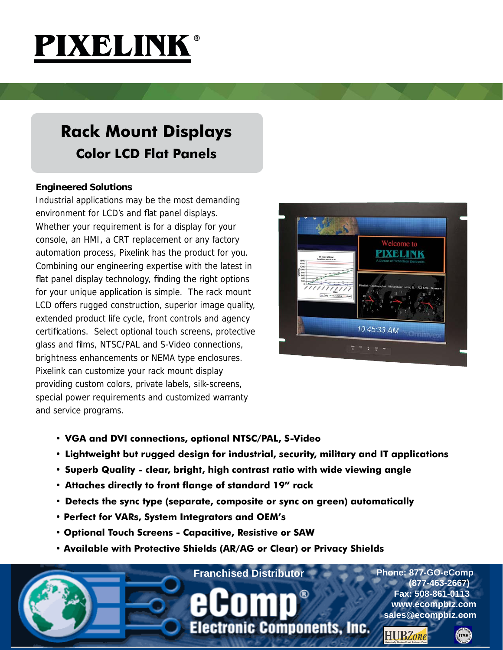

## **Rack Mount Displays Color LCD Flat Panels**

## **Engineered Solutions**

Industrial applications may be the most demanding environment for LCD's and flat panel displays. Whether your requirement is for a display for your console, an HMI, a CRT replacement or any factory automation process, Pixelink has the product for you. Combining our engineering expertise with the latest in flat panel display technology, finding the right options for your unique application is simple. The rack mount LCD offers rugged construction, superior image quality, extended product life cycle, front controls and agency certifications. Select optional touch screens, protective glass and films, NTSC/PAL and S-Video connections, brightness enhancements or NEMA type enclosures. Pixelink can customize your rack mount display providing custom colors, private labels, silk-screens, special power requirements and customized warranty and service programs.



- **VGA and DVI connections, optional NTSC/PAL, S-Video**
- **Lightweight but rugged design for industrial, security, military and IT applications**
- **Superb Quality clear, bright, high contrast ratio with wide viewing angle**
- **Attaches directly to front flange of standard 19" rack**
- **Detects the sync type (separate, composite or sync on green) automatically**
- **Perfect for VARs, System Integrators and OEM's**
- **Optional Touch Screens Capacitive, Resistive or SAW**
- **Available with Protective Shields (AR/AG or Clear) or Privacy Shields**